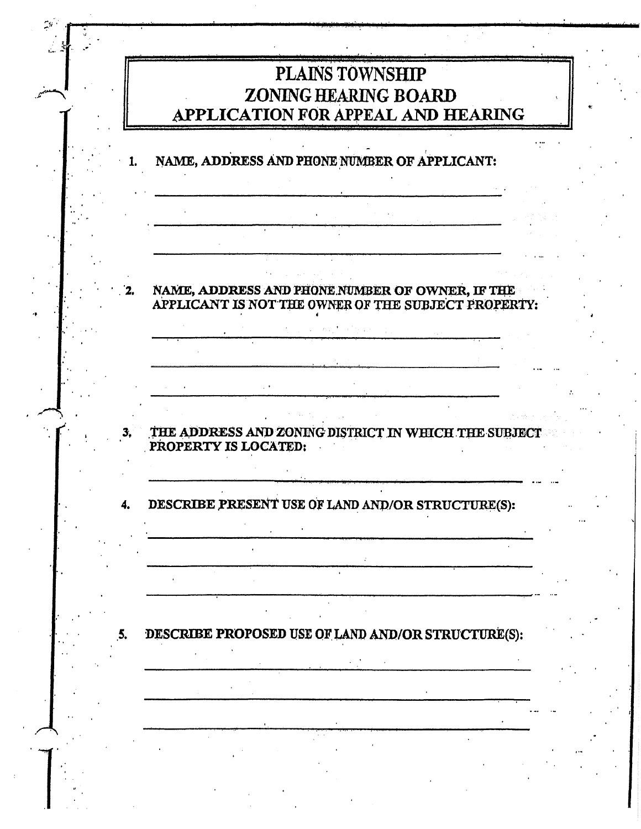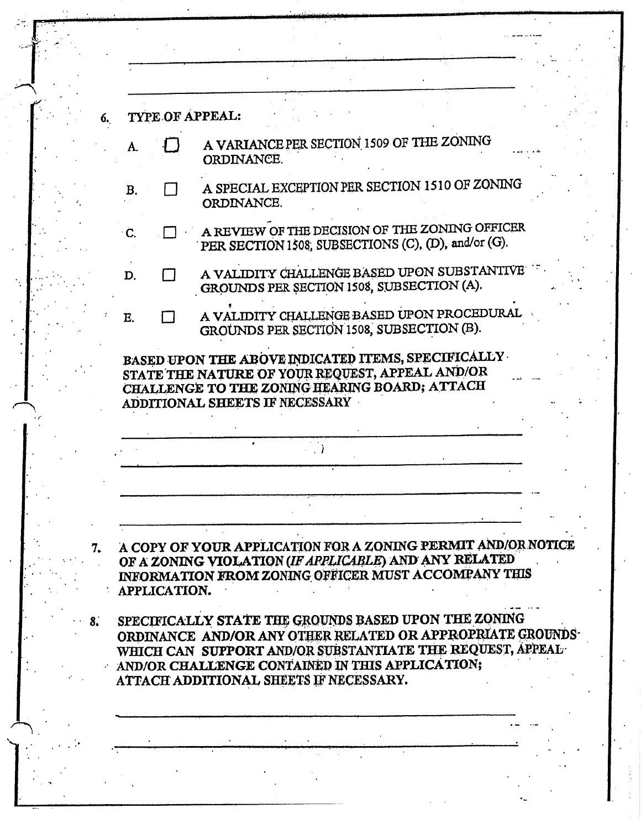| A. |              | TYPE OF APPEAL:                                                                                                                                                              |
|----|--------------|------------------------------------------------------------------------------------------------------------------------------------------------------------------------------|
|    |              | A VARIANCE PER SECTION 1509 OF THE ZONING<br>ORDINANCE.                                                                                                                      |
| B. |              | A SPECIAL EXCEPTION PER SECTION 1510 OF ZONING<br>ORDINANCE.                                                                                                                 |
| C. |              | A REVIEW OF THE DECISION OF THE ZONING OFFICER<br>PER SECTION 1508, SUBSECTIONS (C), (D), and/or (G).                                                                        |
| D. |              | A VALIDITY CHALLENGE BASED UPON SUBSTANTIVE<br>GROUNDS PER SECTION 1508, SUBSECTION (A).                                                                                     |
| E. |              | A VALIDITY CHALLENGE BASED UPON PROCEDURAL<br>GROUNDS PER SECTION 1508, SUBSECTION (B).                                                                                      |
|    |              | CHALLENGE TO THE ZONING HEARING BOARD; ATTACH<br>ADDITIONAL SHEETS IF NECESSARY                                                                                              |
|    |              |                                                                                                                                                                              |
|    |              |                                                                                                                                                                              |
|    |              | A COPY OF YOUR APPLICATION FOR A ZONING PERMIT AND/OR NOTICE<br>OF A ZONING VIOLATION (IF APPLICABLE) AND ANY RELATED<br>INFORMATION FROM ZONING OFFICER MUST ACCOMPANY THIS |
|    | APPLICATION. |                                                                                                                                                                              |